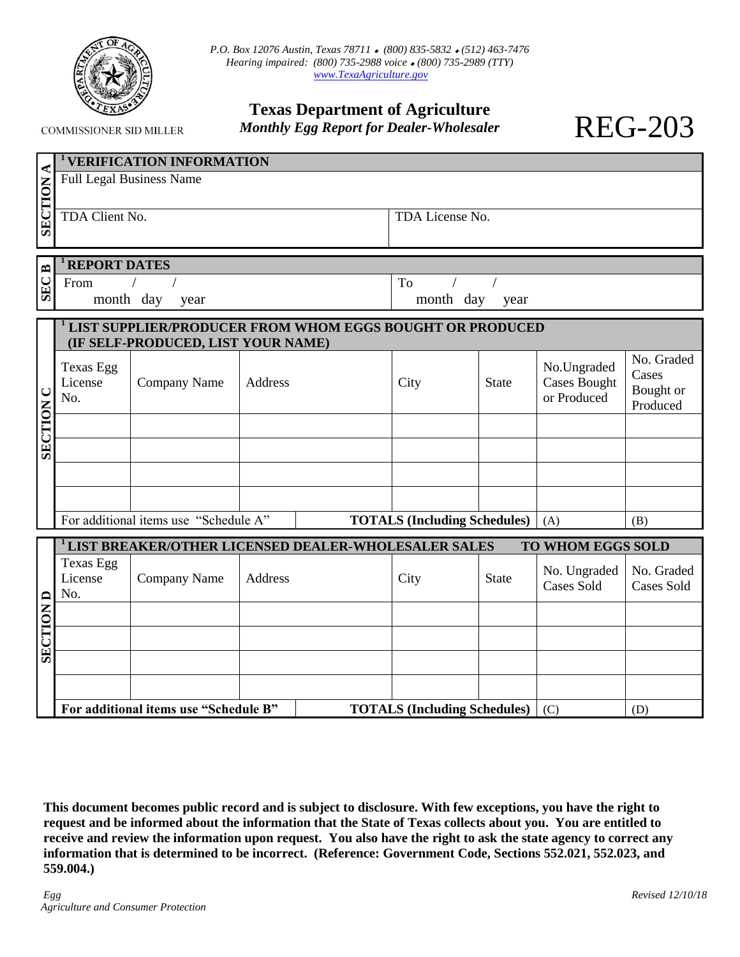

**COMMISSIONER SID MILLER** 

| <b>Texas Department of Agriculture</b>          |
|-------------------------------------------------|
| <b>Monthly Egg Report for Dealer-Wholesaler</b> |

REG-203

| ⋖                   | <b>VERIFICATION INFORMATION</b>                                                                       |                                       |         |    |                                     |              |                                                   |                                              |  |
|---------------------|-------------------------------------------------------------------------------------------------------|---------------------------------------|---------|----|-------------------------------------|--------------|---------------------------------------------------|----------------------------------------------|--|
|                     | <b>Full Legal Business Name</b>                                                                       |                                       |         |    |                                     |              |                                                   |                                              |  |
| <b>SECTION</b>      | TDA Client No.                                                                                        |                                       |         |    | TDA License No.                     |              |                                                   |                                              |  |
|                     |                                                                                                       |                                       |         |    |                                     |              |                                                   |                                              |  |
| <b>REPORT DATES</b> |                                                                                                       |                                       |         |    |                                     |              |                                                   |                                              |  |
| <b>SECB</b>         | From                                                                                                  |                                       |         | To |                                     |              |                                                   |                                              |  |
|                     | month day<br>year                                                                                     |                                       |         |    | month day<br>year                   |              |                                                   |                                              |  |
|                     | <b>LIST SUPPLIER/PRODUCER FROM WHOM EGGS BOUGHT OR PRODUCED</b><br>(IF SELF-PRODUCED, LIST YOUR NAME) |                                       |         |    |                                     |              |                                                   |                                              |  |
| <b>SECTION C</b>    | <b>Texas Egg</b><br>License<br>No.                                                                    | Company Name                          | Address |    | City                                | <b>State</b> | No.Ungraded<br><b>Cases Bought</b><br>or Produced | No. Graded<br>Cases<br>Bought or<br>Produced |  |
|                     |                                                                                                       |                                       |         |    |                                     |              |                                                   |                                              |  |
|                     |                                                                                                       |                                       |         |    |                                     |              |                                                   |                                              |  |
|                     |                                                                                                       |                                       |         |    |                                     |              |                                                   |                                              |  |
|                     |                                                                                                       |                                       |         |    |                                     |              |                                                   |                                              |  |
|                     |                                                                                                       | For additional items use "Schedule A" |         |    | <b>TOTALS (Including Schedules)</b> |              | (A)                                               | (B)                                          |  |
|                     | <sup>1</sup> LIST BREAKER/OTHER LICENSED DEALER-WHOLESALER SALES<br>TO WHOM EGGS SOLD                 |                                       |         |    |                                     |              |                                                   |                                              |  |
|                     | <b>Texas Egg</b><br>License<br>No.                                                                    | Company Name                          | Address |    | City                                | <b>State</b> | No. Ungraded<br><b>Cases Sold</b>                 | No. Graded<br>Cases Sold                     |  |
|                     |                                                                                                       |                                       |         |    |                                     |              |                                                   |                                              |  |
| <b>SECTION D</b>    |                                                                                                       |                                       |         |    |                                     |              |                                                   |                                              |  |
|                     |                                                                                                       |                                       |         |    |                                     |              |                                                   |                                              |  |
|                     |                                                                                                       |                                       |         |    |                                     |              |                                                   |                                              |  |
|                     | For additional items use "Schedule B"<br><b>TOTALS (Including Schedules)</b>                          |                                       |         |    |                                     | (C)          | (D)                                               |                                              |  |

**This document becomes public record and is subject to disclosure. With few exceptions, you have the right to request and be informed about the information that the State of Texas collects about you. You are entitled to receive and review the information upon request. You also have the right to ask the state agency to correct any information that is determined to be incorrect. (Reference: Government Code, Sections 552.021, 552.023, and 559.004.)**